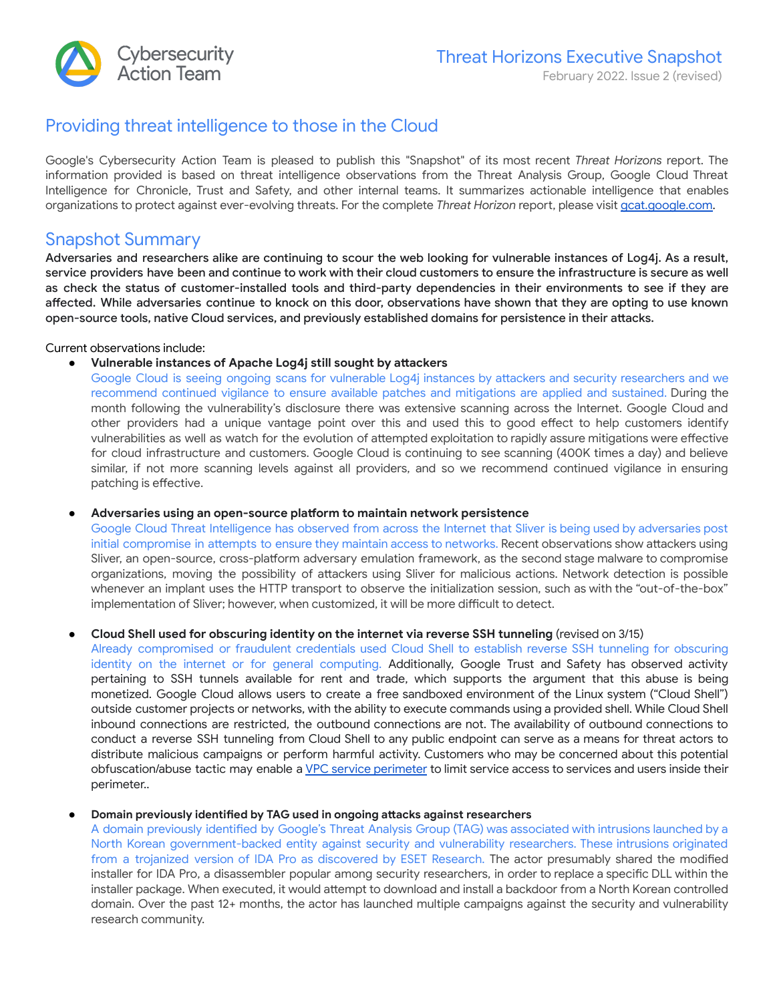

# Providing threat intelligence to those in the Cloud

Google's Cybersecurity Action Team is pleased to publish this "Snapshot" of its most recent Threat Horizons report. The information provided is based on threat intelligence observations from the Threat Analysis Group, Google Cloud Threat Intelligence for Chronicle, Trust and Safety, and other internal teams. It summarizes actionable intelligence that enables organizations to protect against ever-evolving threats. For the complete *Threat Horizon* report, please visit [gcat.google.com](https://gcat.google.com/).

## Snapshot Summary

Adversaries and researchers alike are continuing to scour the web looking for vulnerable instances of Log4j. As a result, service providers have been and continue to work with their cloud customers to ensure the infrastructure is secure as well as check the status of customer-installed tools and third-party dependencies in their environments to see if they are affected. While adversaries continue to knock on this door, observations have shown that they are opting to use known open-source tools, native Cloud services, and previously established domains for persistence in their attacks.

#### Current observations include:

*Vulnerable instances of Apache Log4j still sought by attackers* 

Google Cloud is seeing ongoing scans for vulnerable Log4j instances by attackers and security researchers and we recommend continued vigilance to ensure available patches and mitigations are applied and sustained. During the month following the vulnerability's disclosure there was extensive scanning across the Internet. Google Cloud and other providers had a unique vantage point over this and used this to good effect to help customers identify vulnerabilities as well as watch for the evolution of attempted exploitation to rapidly assure mitigations were effective for cloud infrastructure and customers. Google Cloud is continuing to see scanning (400K times a day) and believe similar, if not more scanning levels against all providers, and so we recommend continued vigilance in ensuring patching is effective.

#### ● **Adversaries using an open-source plaorm to maintain network persistence**

Google Cloud Threat Intelligence has observed from across the Internet that Sliver is being used by adversaries post initial compromise in attempts to ensure they maintain access to networks. Recent observations show attackers using Sliver, an open-source, cross-platform adversary emulation framework, as the second stage malware to compromise organizations, moving the possibility of attackers using Sliver for malicious actions. Network detection is possible whenever an implant uses the HTTP transport to observe the initialization session, such as with the "out-of-the-box" implementation of Sliver; however, when customized, it will be more difficult to detect.

#### ● **Cloud Shell used for obscuring identity on the internet via reverse SSH tunneling** (revised on 3/15)

Already compromised or fraudulent credentials used Cloud Shell to establish reverse SSH tunneling for obscuring identity on the internet or for general computing. Additionally, Google Trust and Safety has observed activity pertaining to SSH tunnels available for rent and trade, which supports the argument that this abuse is being monetized. Google Cloud allows users to create a free sandboxed environment of the Linux system ("Cloud Shell") outside customer projects or networks, with the ability to execute commands using a provided shell. While Cloud Shell inbound connections are restricted, the outbound connections are not. The availability of outbound connections to conduct a reverse SSH tunneling from Cloud Shell to any public endpoint can serve as a means for threat actors to distribute malicious campaigns or perform harmful activity. Customers who may be concerned about this potential obfuscation/abuse tactic may enable a VPC service [perimeter](https://cloud.google.com/vpc-service-controls/docs/create-service-perimeters) to limit service access to services and users inside their perimeter..

#### **Domain previously identified by TAG** used in ongoing attacks against researchers

A domain previously identified by Google's Threat Analysis Group (TAG) was associated with intrusions launched by a North Korean government-backed entity against security and vulnerability researchers. These intrusions originated from a trojanized version of IDA Pro as discovered by ESET Research. The actor presumably shared the modified installer for IDA Pro, a disassembler popular among security researchers, in order to replace a specific DLL within the installer package. When executed, it would attempt to download and install a backdoor from a North Korean controlled domain. Over the past 12+ months, the actor has launched multiple campaigns against the security and vulnerability research community.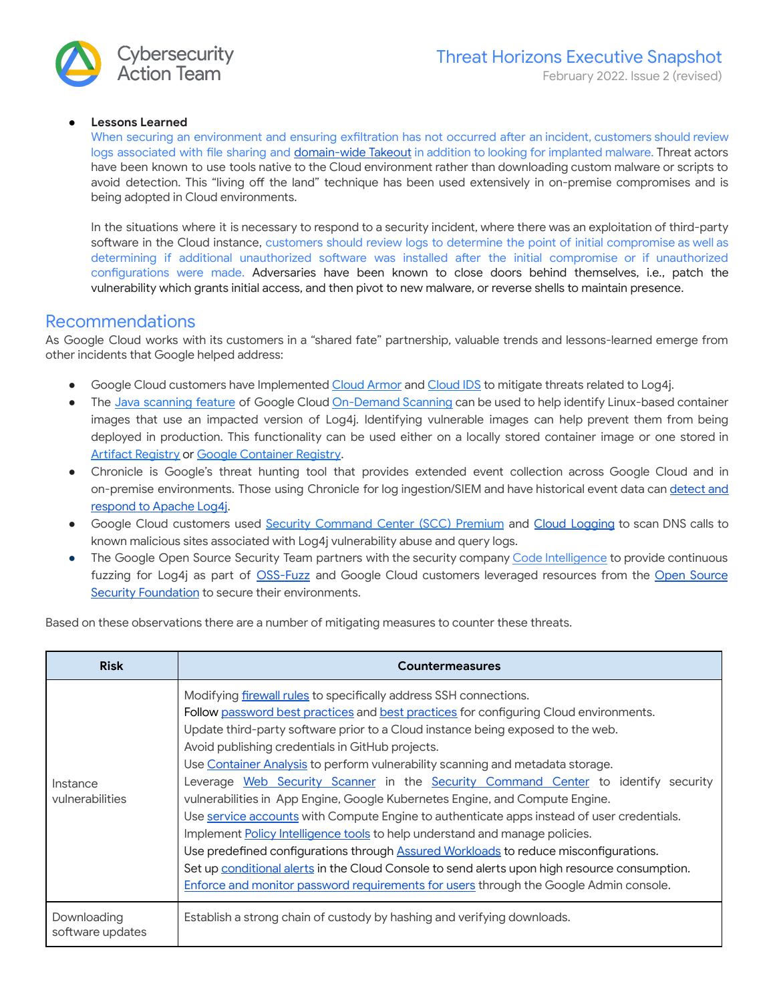### ● **Lessons Learned**

When securing an environment and ensuring exfiltration has not occurred after an incident, customers should review logs associated with file sharing and [domain-wide](https://support.google.com/a/answer/100458?hl=en) Takeout in addition to looking for implanted malware. Threat actors have been known to use tools native to the Cloud environment rather than downloading custom malware or scripts to avoid detection. This "living off the land" technique has been used extensively in on-premise compromises and is being adopted in Cloud environments.

In the situations where it is necessary to respond to a security incident, where there was an exploitation of third-party software in the Cloud instance, customers should review logs to determine the point of initial compromise as well as determining if additional unauthorized software was installed after the initial compromise or if unauthorized configurations were made. Adversaries have been known to close doors behind themselves, i.e., patch the vulnerability which grants initial access, and then pivot to new malware, or reverse shells to maintain presence.

### Recommendations

As Google Cloud works with its customers in a "shared fate" partnership, valuable trends and lessons-learned emerge from other incidents that Google helped address:

- Google Cloud customers have Implemented Cloud [Armor](https://cloud.google.com/armor) and [Cloud](https://cloud.google.com/intrusion-detection-system) IDS to mitigate threats related to Log4j.
- The Java [scanning](https://cloud.google.com/container-analysis/docs/java-overview) feature of Google Cloud [On-Demand](https://cloud.google.com/container-analysis/docs/container-scanning-overview) Scanning can be used to help identify Linux-based container images that use an impacted version of Log4j. Identifying vulnerable images can help prevent them from being deployed in production. This functionality can be used either on a locally stored container image or one stored in Artifact [Registry](https://cloud.google.com/artifact-registry) or Google [Container](https://cloud.google.com/container-registry) Registry.
- Chronicle is Google's threat hunting tool that provides extended event collection across Google Cloud and in on-premise environments. Those using Chronicle for log ingestion/SIEM and have historical event data can [detect](https://chroniclesec.medium.com/detecting-and-responding-to-apache-log4j-2-cve-2021-44228-using-google-chronicle-ec77d676eaea) and [respond](https://chroniclesec.medium.com/detecting-and-responding-to-apache-log4j-2-cve-2021-44228-using-google-chronicle-ec77d676eaea) to Apache Log4j.
- Google Cloud customers used Security [Command](https://cloud.google.com/security-command-center) Center (SCC) Premium and Cloud [Logging](https://cloud.google.com/logging/docs/log4j2-vulnerability#log4j-detection) to scan DNS calls to known malicious sites associated with Log4j vulnerability abuse and query logs.
- The Google Open Source Security Team partners with the security company Code [Intelligence](https://www.code-intelligence.com/) to provide continuous fuzzing for Log4j as part of [OSS-Fuzz](https://security.googleblog.com/2021/12/improving-oss-fuzz-and-jazzer-to-catch.html) and Google Cloud customers leveraged resources from the Open [Source](https://openssf.org/) Security [Foundation](https://openssf.org/) to secure their environments.

Based on these observations there are a number of mitigating measures to counter these threats.

| <b>Risk</b>                     | <b>Countermeasures</b>                                                                                                                                                                                                                                                                                                                                                                                                                                                                                                                                                                                                                                                                                                                                                                                                                                                                                                                                                                                                  |
|---------------------------------|-------------------------------------------------------------------------------------------------------------------------------------------------------------------------------------------------------------------------------------------------------------------------------------------------------------------------------------------------------------------------------------------------------------------------------------------------------------------------------------------------------------------------------------------------------------------------------------------------------------------------------------------------------------------------------------------------------------------------------------------------------------------------------------------------------------------------------------------------------------------------------------------------------------------------------------------------------------------------------------------------------------------------|
| Instance<br>vulnerabilities     | Modifying firewall rules to specifically address SSH connections.<br>Follow password best practices and best practices for configuring Cloud environments.<br>Update third-party software prior to a Cloud instance being exposed to the web.<br>Avoid publishing credentials in GitHub projects.<br>Use Container Analysis to perform vulnerability scanning and metadata storage.<br>Leverage Web Security Scanner in the Security Command Center to identify security<br>vulnerabilities in App Engine, Google Kubernetes Engine, and Compute Engine.<br>Use service accounts with Compute Engine to authenticate apps instead of user credentials.<br>Implement Policy Intelligence tools to help understand and manage policies.<br>Use predefined configurations through Assured Workloads to reduce misconfigurations.<br>Set up conditional alerts in the Cloud Console to send alerts upon high resource consumption.<br>Enforce and monitor password requirements for users through the Google Admin console. |
| Downloading<br>software updates | Establish a strong chain of custody by hashing and verifying downloads.                                                                                                                                                                                                                                                                                                                                                                                                                                                                                                                                                                                                                                                                                                                                                                                                                                                                                                                                                 |